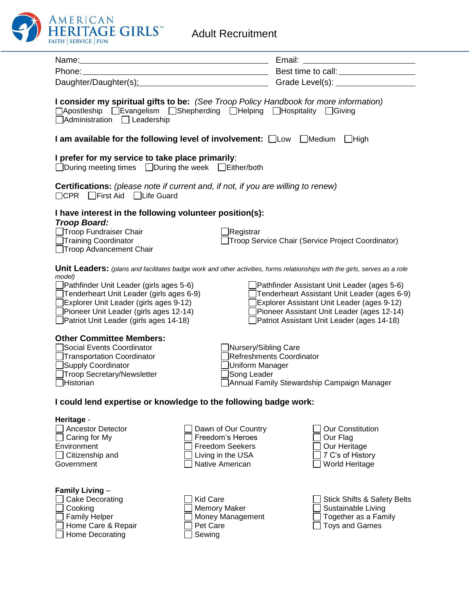

| Phone:                                                                                                                                                                                                                                                                                                                            |                                                                                                           | and Best time to call:                                                                                                                                                                                                         |  |  |
|-----------------------------------------------------------------------------------------------------------------------------------------------------------------------------------------------------------------------------------------------------------------------------------------------------------------------------------|-----------------------------------------------------------------------------------------------------------|--------------------------------------------------------------------------------------------------------------------------------------------------------------------------------------------------------------------------------|--|--|
|                                                                                                                                                                                                                                                                                                                                   |                                                                                                           | Daughter/Daughter(s): Capable 1 Contract Contract Contract Contract Contract Contract Contract Contract Contract Contract Contract Contract Contract Contract Contract Contract Contract Contract Contract Contract Contract C |  |  |
| I consider my spiritual gifts to be: (See Troop Policy Handbook for more information)<br>□Apostleship □Evangelism □Shepherding □Helping □Hospitality □Giving<br>Administration Leadership                                                                                                                                         |                                                                                                           |                                                                                                                                                                                                                                |  |  |
| I am available for the following level of involvement: □Low □Medium<br>$\Box$ High                                                                                                                                                                                                                                                |                                                                                                           |                                                                                                                                                                                                                                |  |  |
| I prefer for my service to take place primarily:<br>□During meeting times □During the week □Either/both                                                                                                                                                                                                                           |                                                                                                           |                                                                                                                                                                                                                                |  |  |
| <b>Certifications:</b> (please note if current and, if not, if you are willing to renew)<br>□CPR First Aid □Life Guard                                                                                                                                                                                                            |                                                                                                           |                                                                                                                                                                                                                                |  |  |
| I have interest in the following volunteer position(s):                                                                                                                                                                                                                                                                           |                                                                                                           |                                                                                                                                                                                                                                |  |  |
| <b>Troop Board:</b><br>Troop Fundraiser Chair<br>□Training Coordinator<br>□Troop Advancement Chair                                                                                                                                                                                                                                | <b>Registrar</b>                                                                                          | Troop Service Chair (Service Project Coordinator)                                                                                                                                                                              |  |  |
| <b>Unit Leaders:</b> (plans and facilitates badge work and other activities, forms relationships with the girls, serves as a role<br>model)<br>Pathfinder Unit Leader (girls ages 5-6)<br>Pathfinder Assistant Unit Leader (ages 5-6)<br>Tenderheart Unit Leader (girls ages 6-9)<br>Tenderheart Assistant Unit Leader (ages 6-9) |                                                                                                           |                                                                                                                                                                                                                                |  |  |
| Explorer Unit Leader (girls ages 9-12)<br>Explorer Assistant Unit Leader (ages 9-12)<br>Pioneer Unit Leader (girls ages 12-14)<br>Pioneer Assistant Unit Leader (ages 12-14)<br>Patriot Unit Leader (girls ages 14-18)<br>Patriot Assistant Unit Leader (ages 14-18)                                                              |                                                                                                           |                                                                                                                                                                                                                                |  |  |
| <b>Other Committee Members:</b><br>Social Events Coordinator<br>Transportation Coordinator<br>Supply Coordinator<br>Troop Secretary/Newsletter<br>Historian                                                                                                                                                                       | Nursery/Sibling Care<br>Uniform Manager<br>Song Leader                                                    | Refreshments Coordinator<br>Annual Family Stewardship Campaign Manager                                                                                                                                                         |  |  |
| I could lend expertise or knowledge to the following badge work:                                                                                                                                                                                                                                                                  |                                                                                                           |                                                                                                                                                                                                                                |  |  |
| Heritage -<br><b>Ancestor Detector</b><br>Caring for My<br>Environment<br>Citizenship and<br>Government                                                                                                                                                                                                                           | Dawn of Our Country<br>Freedom's Heroes<br><b>Freedom Seekers</b><br>Living in the USA<br>Native American | <b>Our Constitution</b><br>Our Flag<br>Our Heritage<br>7 C's of History<br>World Heritage                                                                                                                                      |  |  |
| <b>Family Living -</b><br>Cake Decorating<br>Cooking<br><b>Family Helper</b><br>Home Care & Repair<br>Home Decorating                                                                                                                                                                                                             | <b>Kid Care</b><br><b>Memory Maker</b><br>Money Management<br>Pet Care<br>Sewing                          | <b>Stick Shifts &amp; Safety Belts</b><br>Sustainable Living<br>Together as a Family<br><b>Toys and Games</b>                                                                                                                  |  |  |